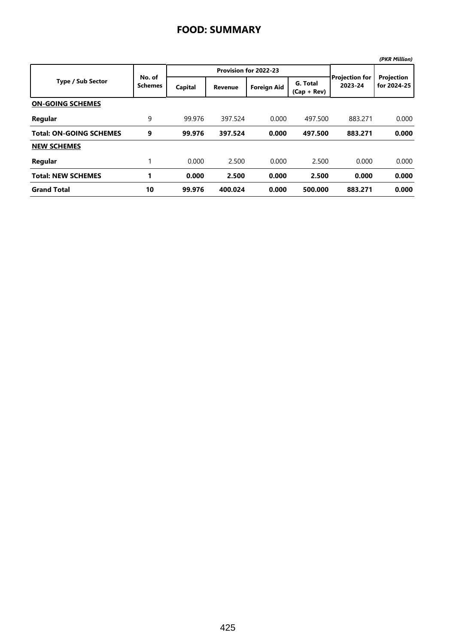|                                |                          |         |                       |                    |                           |                                  | (PKR Million)             |
|--------------------------------|--------------------------|---------|-----------------------|--------------------|---------------------------|----------------------------------|---------------------------|
|                                |                          |         | Provision for 2022-23 |                    |                           |                                  |                           |
| <b>Type / Sub Sector</b>       | No. of<br><b>Schemes</b> | Capital | <b>Revenue</b>        | <b>Foreign Aid</b> | G. Total<br>$(Cap + Rev)$ | <b>Projection for</b><br>2023-24 | Projection<br>for 2024-25 |
| <b>ON-GOING SCHEMES</b>        |                          |         |                       |                    |                           |                                  |                           |
| Regular                        | 9                        | 99.976  | 397.524               | 0.000              | 497.500                   | 883.271                          | 0.000                     |
| <b>Total: ON-GOING SCHEMES</b> | 9                        | 99.976  | 397.524               | 0.000              | 497.500                   | 883.271                          | 0.000                     |
| <b>NEW SCHEMES</b>             |                          |         |                       |                    |                           |                                  |                           |
| Regular                        | 1                        | 0.000   | 2.500                 | 0.000              | 2.500                     | 0.000                            | 0.000                     |
| <b>Total: NEW SCHEMES</b>      |                          | 0.000   | 2.500                 | 0.000              | 2.500                     | 0.000                            | 0.000                     |
| <b>Grand Total</b>             | 10                       | 99.976  | 400.024               | 0.000              | 500.000                   | 883.271                          | 0.000                     |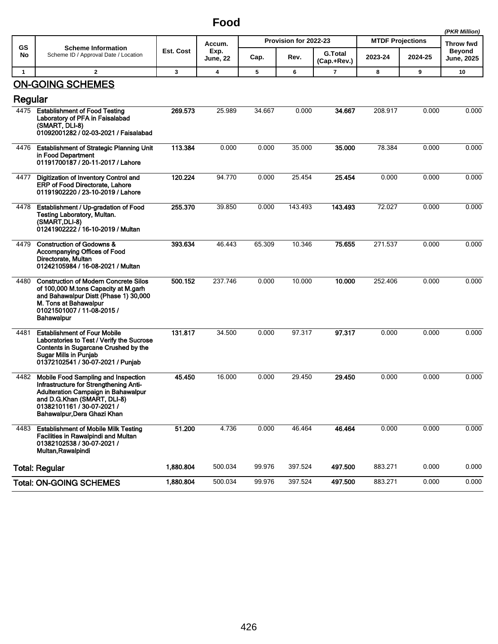## **Food**

|                |                                                                                                                                                                                                                  |           |                            |                       |         |                               |                         |           | (PKR Million)               |
|----------------|------------------------------------------------------------------------------------------------------------------------------------------------------------------------------------------------------------------|-----------|----------------------------|-----------------------|---------|-------------------------------|-------------------------|-----------|-----------------------------|
| GS             | <b>Scheme Information</b>                                                                                                                                                                                        | Est. Cost | Accum.<br>Exp.<br>June, 22 | Provision for 2022-23 |         |                               | <b>MTDF Projections</b> | Throw fwd |                             |
| No             | Scheme ID / Approval Date / Location                                                                                                                                                                             |           |                            | Cap.                  | Rev.    | <b>G.Total</b><br>(Cap.+Rev.) | 2023-24                 | 2024-25   | <b>Beyond</b><br>June, 2025 |
| $\overline{1}$ | $\overline{\mathbf{2}}$                                                                                                                                                                                          | 3         | 4                          | 5                     | 6       | $\overline{7}$                | 8                       | 9         | 10                          |
| Regular        | <b>ON-GOING SCHEMES</b>                                                                                                                                                                                          |           |                            |                       |         |                               |                         |           |                             |
| 4475           | <b>Establishment of Food Testing</b><br>Laboratory of PFA in Faisalabad<br>(SMART, DLI-8)<br>01092001282 / 02-03-2021 / Faisalabad                                                                               | 269.573   | 25.989                     | 34.667                | 0.000   | 34.667                        | 208.917                 | 0.000     | 0.000                       |
| 4476           | <b>Establishment of Strategic Planning Unit</b><br>in Food Department<br>01191700187 / 20-11-2017 / Lahore                                                                                                       | 113.384   | 0.000                      | 0.000                 | 35.000  | 35.000                        | 78.384                  | 0.000     | 0.000                       |
| 4477           | Digitization of Inventory Control and<br><b>ERP of Food Directorate, Lahore</b><br>01191902220 / 23-10-2019 / Lahore                                                                                             | 120.224   | 94.770                     | 0.000                 | 25.454  | 25.454                        | 0.000                   | 0.000     | 0.000                       |
| 4478           | Establishment / Up-gradation of Food<br>Testing Laboratory, Multan.<br>(SMART, DLI-8)<br>01241902222 / 16-10-2019 / Multan                                                                                       | 255.370   | 39.850                     | 0.000                 | 143.493 | 143.493                       | 72.027                  | 0.000     | 0.000                       |
| 4479           | <b>Construction of Godowns &amp;</b><br>Accompanying Offices of Food<br>Directorate, Multan<br>01242105984 / 16-08-2021 / Multan                                                                                 | 393.634   | 46.443                     | 65.309                | 10.346  | 75.655                        | 271.537                 | 0.000     | 0.000                       |
| 4480           | <b>Construction of Modern Concrete Silos</b><br>of 100,000 M.tons Capacity at M.garh<br>and Bahawalpur Distt (Phase 1) 30,000<br>M. Tons at Bahawalpur<br>01021501007 / 11-08-2015 /<br><b>Bahawalpur</b>        | 500.152   | 237.746                    | 0.000                 | 10.000  | 10.000                        | 252.406                 | 0.000     | 0.000                       |
| 4481           | <b>Establishment of Four Mobile</b><br>Laboratories to Test / Verify the Sucrose<br>Contents in Sugarcane Crushed by the<br><b>Sugar Mills in Punjab</b><br>01372102541 / 30-07-2021 / Punjab                    | 131.817   | 34.500                     | 0.000                 | 97.317  | 97.317                        | 0.000                   | 0.000     | 0.000                       |
| 4482           | Mobile Food Sampling and Inspection<br>Infrastructure for Strengthening Anti-<br>Adulteration Campaign in Bahawalpur<br>and D.G.Khan (SMART, DLI-8)<br>01382101161 / 30-07-2021 /<br>Bahawalpur, Dera Ghazi Khan | 45.450    | 16.000                     | 0.000                 | 29.450  | 29.450                        | 0.000                   | 0.000     | 0.000                       |
| 4483           | <b>Establishment of Mobile Milk Testing</b><br><b>Facilities in Rawalpindi and Multan</b><br>01382102538 / 30-07-2021 /<br>Multan, Rawalpindi                                                                    | 51.200    | 4.736                      | 0.000                 | 46.464  | 46.464                        | 0.000                   | 0.000     | 0.000                       |
|                | <b>Total: Regular</b>                                                                                                                                                                                            | 1,880.804 | 500.034                    | 99.976                | 397.524 | 497.500                       | 883.271                 | 0.000     | 0.000                       |
|                | <b>Total: ON-GOING SCHEMES</b>                                                                                                                                                                                   | 1,880.804 | 500.034                    | 99.976                | 397.524 | 497.500                       | 883.271                 | 0.000     | 0.000                       |